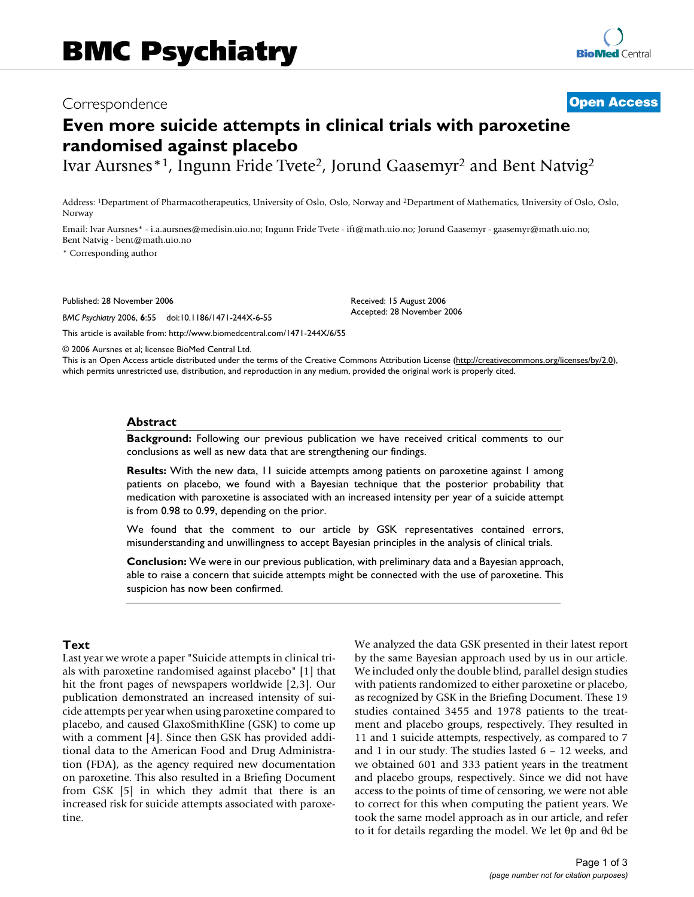## Correspondence **[Open Access](http://www.biomedcentral.com/info/about/charter/)**

# **Even more suicide attempts in clinical trials with paroxetine randomised against placebo**

Ivar Aursnes\*1, Ingunn Fride Tvete2, Jorund Gaasemyr2 and Bent Natvig2

Address: 1Department of Pharmacotherapeutics, University of Oslo, Oslo, Norway and 2Department of Mathematics, University of Oslo, Oslo, Norway

Email: Ivar Aursnes\* - i.a.aursnes@medisin.uio.no; Ingunn Fride Tvete - ift@math.uio.no; Jorund Gaasemyr - gaasemyr@math.uio.no; Bent Natvig - bent@math.uio.no

\* Corresponding author

Published: 28 November 2006

*BMC Psychiatry* 2006, **6**:55 doi:10.1186/1471-244X-6-55

Received: 15 August 2006 Accepted: 28 November 2006

[This article is available from: http://www.biomedcentral.com/1471-244X/6/55](http://www.biomedcentral.com/1471-244X/6/55)

© 2006 Aursnes et al; licensee BioMed Central Ltd.

This is an Open Access article distributed under the terms of the Creative Commons Attribution License [\(http://creativecommons.org/licenses/by/2.0\)](http://creativecommons.org/licenses/by/2.0), which permits unrestricted use, distribution, and reproduction in any medium, provided the original work is properly cited.

#### **Abstract**

**Background:** Following our previous publication we have received critical comments to our conclusions as well as new data that are strengthening our findings.

**Results:** With the new data, 11 suicide attempts among patients on paroxetine against 1 among patients on placebo, we found with a Bayesian technique that the posterior probability that medication with paroxetine is associated with an increased intensity per year of a suicide attempt is from 0.98 to 0.99, depending on the prior.

We found that the comment to our article by GSK representatives contained errors, misunderstanding and unwillingness to accept Bayesian principles in the analysis of clinical trials.

**Conclusion:** We were in our previous publication, with preliminary data and a Bayesian approach, able to raise a concern that suicide attempts might be connected with the use of paroxetine. This suspicion has now been confirmed.

## **Text**

Last year we wrote a paper "Suicide attempts in clinical trials with paroxetine randomised against placebo" [1] that hit the front pages of newspapers worldwide [2,3]. Our publication demonstrated an increased intensity of suicide attempts per year when using paroxetine compared to placebo, and caused GlaxoSmithKline (GSK) to come up with a comment [4]. Since then GSK has provided additional data to the American Food and Drug Administration (FDA), as the agency required new documentation on paroxetine. This also resulted in a Briefing Document from GSK [5] in which they admit that there is an increased risk for suicide attempts associated with paroxetine.

We analyzed the data GSK presented in their latest report by the same Bayesian approach used by us in our article. We included only the double blind, parallel design studies with patients randomized to either paroxetine or placebo, as recognized by GSK in the Briefing Document. These 19 studies contained 3455 and 1978 patients to the treatment and placebo groups, respectively. They resulted in 11 and 1 suicide attempts, respectively, as compared to 7 and 1 in our study. The studies lasted 6 – 12 weeks, and we obtained 601 and 333 patient years in the treatment and placebo groups, respectively. Since we did not have access to the points of time of censoring, we were not able to correct for this when computing the patient years. We took the same model approach as in our article, and refer to it for details regarding the model. We let θp and θd be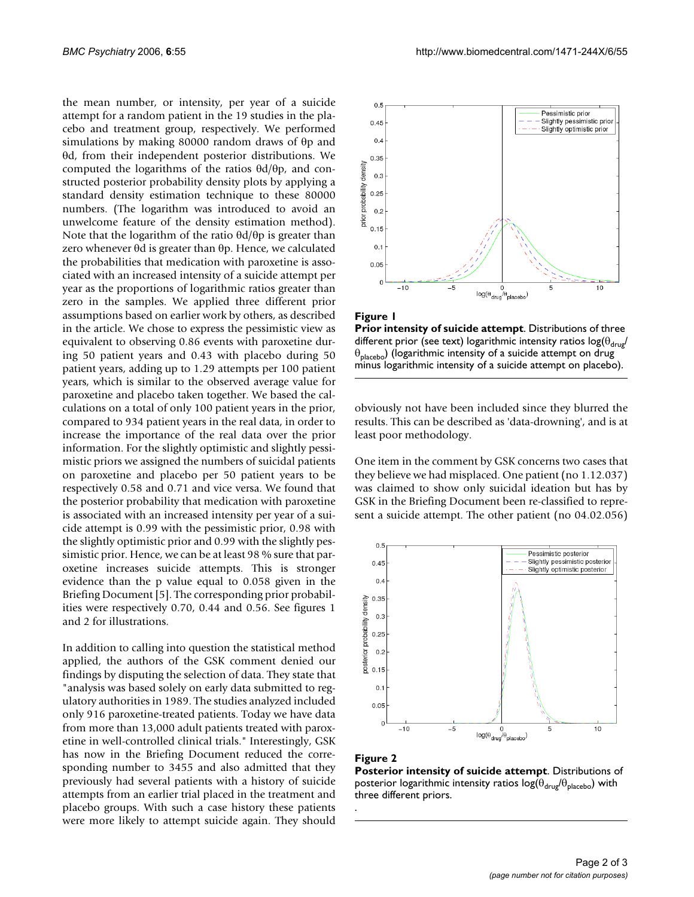the mean number, or intensity, per year of a suicide attempt for a random patient in the 19 studies in the placebo and treatment group, respectively. We performed simulations by making 80000 random draws of θp and θd, from their independent posterior distributions. We computed the logarithms of the ratios θd/θp, and constructed posterior probability density plots by applying a standard density estimation technique to these 80000 numbers. (The logarithm was introduced to avoid an unwelcome feature of the density estimation method). Note that the logarithm of the ratio  $\theta d/\theta p$  is greater than zero whenever θd is greater than θp. Hence, we calculated the probabilities that medication with paroxetine is associated with an increased intensity of a suicide attempt per year as the proportions of logarithmic ratios greater than zero in the samples. We applied three different prior assumptions based on earlier work by others, as described in the article. We chose to express the pessimistic view as equivalent to observing 0.86 events with paroxetine during 50 patient years and 0.43 with placebo during 50 patient years, adding up to 1.29 attempts per 100 patient years, which is similar to the observed average value for paroxetine and placebo taken together. We based the calculations on a total of only 100 patient years in the prior, compared to 934 patient years in the real data, in order to increase the importance of the real data over the prior information. For the slightly optimistic and slightly pessimistic priors we assigned the numbers of suicidal patients on paroxetine and placebo per 50 patient years to be respectively 0.58 and 0.71 and vice versa. We found that the posterior probability that medication with paroxetine is associated with an increased intensity per year of a suicide attempt is 0.99 with the pessimistic prior, 0.98 with the slightly optimistic prior and 0.99 with the slightly pessimistic prior. Hence, we can be at least 98 % sure that paroxetine increases suicide attempts. This is stronger evidence than the p value equal to 0.058 given in the Briefing Document [5]. The corresponding prior probabilities were respectively 0.70, 0.44 and 0.56. See figures 1 and 2 for illustrations.

In addition to calling into question the statistical method applied, the authors of the GSK comment denied our findings by disputing the selection of data. They state that "analysis was based solely on early data submitted to regulatory authorities in 1989. The studies analyzed included only 916 paroxetine-treated patients. Today we have data from more than 13,000 adult patients treated with paroxetine in well-controlled clinical trials." Interestingly, GSK has now in the Briefing Document reduced the corresponding number to 3455 and also admitted that they previously had several patients with a history of suicide attempts from an earlier trial placed in the treatment and placebo groups. With such a case history these patients were more likely to attempt suicide again. They should





**Prior intensity of suicide attempt**. Distributions of three different prior (see text) logarithmic intensity ratios  $\log(\theta_{\text{drue}})$  $\theta_{\text{placebo}}$ ) (logarithmic intensity of a suicide attempt on drug minus logarithmic intensity of a suicide attempt on placebo).

obviously not have been included since they blurred the results. This can be described as 'data-drowning', and is at least poor methodology.

One item in the comment by GSK concerns two cases that they believe we had misplaced. One patient (no 1.12.037) was claimed to show only suicidal ideation but has by GSK in the Briefing Document been re-classified to represent a suicide attempt. The other patient (no 04.02.056)



#### **Figure 2**

.

**Posterior intensity of suicide attempt**. Distributions of posterior logarithmic intensity ratios  $log(\theta_{\text{drug}}/\theta_{\text{placebo}})$  with three different priors.